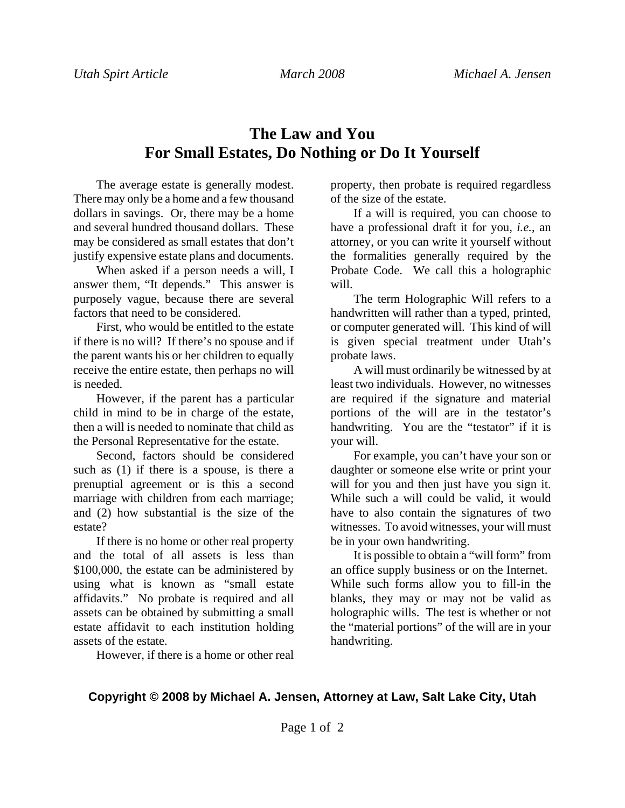## **The Law and You For Small Estates, Do Nothing or Do It Yourself**

The average estate is generally modest. There may only be a home and a few thousand dollars in savings. Or, there may be a home and several hundred thousand dollars. These may be considered as small estates that don't justify expensive estate plans and documents.

When asked if a person needs a will, I answer them, "It depends." This answer is purposely vague, because there are several factors that need to be considered.

First, who would be entitled to the estate if there is no will? If there's no spouse and if the parent wants his or her children to equally receive the entire estate, then perhaps no will is needed.

However, if the parent has a particular child in mind to be in charge of the estate, then a will is needed to nominate that child as the Personal Representative for the estate.

Second, factors should be considered such as (1) if there is a spouse, is there a prenuptial agreement or is this a second marriage with children from each marriage; and (2) how substantial is the size of the estate?

If there is no home or other real property and the total of all assets is less than \$100,000, the estate can be administered by using what is known as "small estate affidavits." No probate is required and all assets can be obtained by submitting a small estate affidavit to each institution holding assets of the estate.

However, if there is a home or other real

property, then probate is required regardless of the size of the estate.

If a will is required, you can choose to have a professional draft it for you, *i.e.*, an attorney, or you can write it yourself without the formalities generally required by the Probate Code. We call this a holographic will.

The term Holographic Will refers to a handwritten will rather than a typed, printed, or computer generated will. This kind of will is given special treatment under Utah's probate laws.

A will must ordinarily be witnessed by at least two individuals. However, no witnesses are required if the signature and material portions of the will are in the testator's handwriting. You are the "testator" if it is your will.

For example, you can't have your son or daughter or someone else write or print your will for you and then just have you sign it. While such a will could be valid, it would have to also contain the signatures of two witnesses. To avoid witnesses, your will must be in your own handwriting.

It is possible to obtain a "will form" from an office supply business or on the Internet. While such forms allow you to fill-in the blanks, they may or may not be valid as holographic wills. The test is whether or not the "material portions" of the will are in your handwriting.

## **Copyright © 2008 by Michael A. Jensen, Attorney at Law, Salt Lake City, Utah**